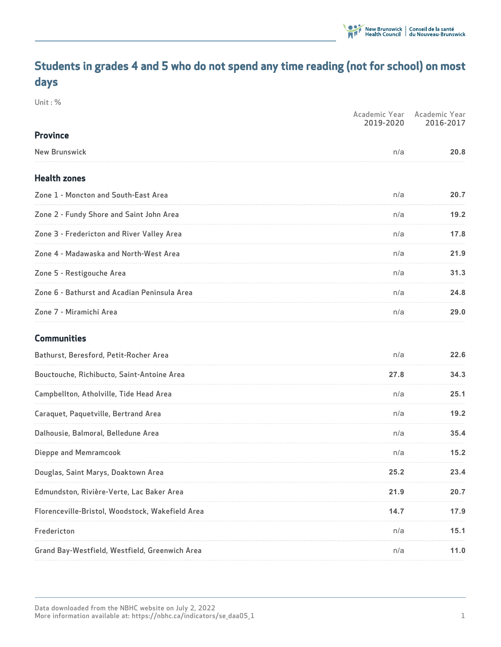# **Students in grades 4 and 5 who do not spend any time reading (not for school) on most days**

**Unit : %**

|                                                  | Academic Year<br>2019-2020 | Academic Year<br>2016-2017 |
|--------------------------------------------------|----------------------------|----------------------------|
| <b>Province</b>                                  |                            |                            |
| <b>New Brunswick</b>                             | n/a                        | 20.8                       |
| <b>Health zones</b>                              |                            |                            |
| Zone 1 - Moncton and South-East Area             | n/a                        | 20.7                       |
| Zone 2 - Fundy Shore and Saint John Area         | n/a                        | 19.2                       |
| Zone 3 - Fredericton and River Valley Area       | n/a                        | 17.8                       |
| Zone 4 - Madawaska and North-West Area           | n/a                        | 21.9                       |
| Zone 5 - Restigouche Area                        | n/a                        | 31.3                       |
| Zone 6 - Bathurst and Acadian Peninsula Area     | n/a                        | 24.8                       |
| Zone 7 - Miramichi Area                          | n/a                        | 29.0                       |
| <b>Communities</b>                               |                            |                            |
| Bathurst, Beresford, Petit-Rocher Area           | n/a                        | 22.6                       |
| Bouctouche, Richibucto, Saint-Antoine Area       | 27.8                       | 34.3                       |
| Campbellton, Atholville, Tide Head Area          | n/a                        | 25.1                       |
| Caraquet, Paquetville, Bertrand Area             | n/a                        | 19.2                       |
| Dalhousie, Balmoral, Belledune Area              | n/a                        | 35.4                       |
| <b>Dieppe and Memramcook</b>                     | n/a                        | 15.2                       |
| Douglas, Saint Marys, Doaktown Area              | 25.2                       | 23.4                       |
| Edmundston, Rivière-Verte, Lac Baker Area        | 21.9                       | 20.7                       |
| Florenceville-Bristol, Woodstock, Wakefield Area | 14.7                       | 17.9                       |
| Fredericton                                      | n/a                        | 15.1                       |
| Grand Bay-Westfield, Westfield, Greenwich Area   | n/a                        | 11.0                       |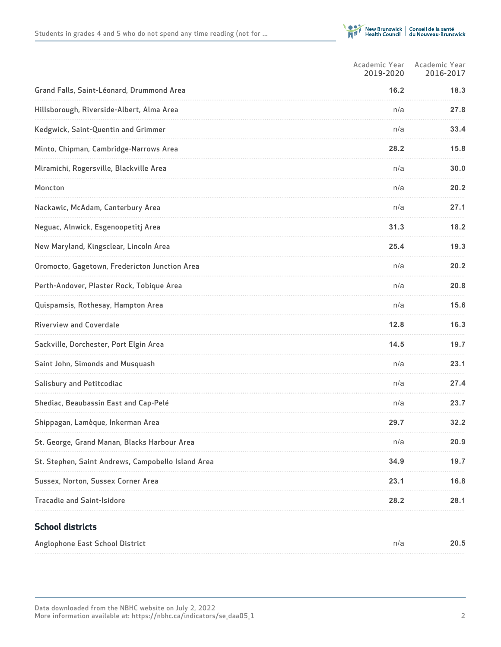

|                                                    | Academic Year<br>2019-2020 | Academic Year<br>2016-2017 |
|----------------------------------------------------|----------------------------|----------------------------|
| Grand Falls, Saint-Léonard, Drummond Area          | 16.2                       | 18.3                       |
| Hillsborough, Riverside-Albert, Alma Area          | n/a                        | 27.8                       |
| Kedgwick, Saint-Quentin and Grimmer                | n/a                        | 33.4                       |
| Minto, Chipman, Cambridge-Narrows Area             | 28.2                       | 15.8                       |
| Miramichi, Rogersville, Blackville Area            | n/a                        | 30.0                       |
| Moncton                                            | n/a                        | 20.2                       |
| Nackawic, McAdam, Canterbury Area                  | n/a                        | 27.1                       |
| Neguac, Alnwick, Esgenoopetitj Area                | 31.3                       | 18.2                       |
| New Maryland, Kingsclear, Lincoln Area             | 25.4                       | 19.3                       |
| Oromocto, Gagetown, Fredericton Junction Area      | n/a                        | 20.2                       |
| Perth-Andover, Plaster Rock, Tobique Area          | n/a                        | 20.8                       |
| Quispamsis, Rothesay, Hampton Area                 | n/a                        | 15.6                       |
| <b>Riverview and Coverdale</b>                     | 12.8                       | 16.3                       |
| Sackville, Dorchester, Port Elgin Area             | 14.5                       | 19.7                       |
| Saint John, Simonds and Musquash                   | n/a                        | 23.1                       |
| <b>Salisbury and Petitcodiac</b>                   | n/a                        | 27.4                       |
| Shediac, Beaubassin East and Cap-Pelé              | n/a                        | 23.7                       |
| Shippagan, Lamèque, Inkerman Area                  | 29.7                       | 32.2                       |
| St. George, Grand Manan, Blacks Harbour Area       | n/a                        | 20.9                       |
| St. Stephen, Saint Andrews, Campobello Island Area | 34.9                       | 19.7                       |
| Sussex, Norton, Sussex Corner Area                 | 23.1                       | 16.8                       |
| <b>Tracadie and Saint-Isidore</b>                  | 28.2                       | 28.1                       |
|                                                    |                            |                            |

## **School districts**

| Anglophone East School District | n/a | 20.5 |
|---------------------------------|-----|------|
|---------------------------------|-----|------|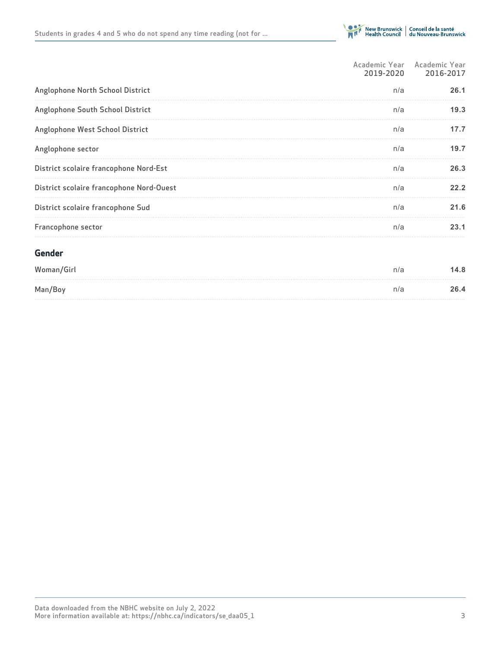

|                                          | Academic Year Academic Year<br>2019-2020 | 2016-2017 |
|------------------------------------------|------------------------------------------|-----------|
| Anglophone North School District         | n/a                                      | 26.1      |
| Anglophone South School District         | n/a                                      | 19.3      |
| Anglophone West School District          | n/a                                      | 17.7      |
| Anglophone sector                        | n/a                                      | 19.7      |
| District scolaire francophone Nord-Est   | n/a                                      | 26.3      |
| District scolaire francophone Nord-Ouest | n/a                                      | 22.2      |
| District scolaire francophone Sud        | n/a                                      | 21.6      |
| Francophone sector                       | n/a                                      | 23.1      |
| Gender                                   |                                          |           |
| Woman/Girl                               | n/a                                      | 14.8      |
| Man/Boy                                  | n/a                                      | 26.4      |